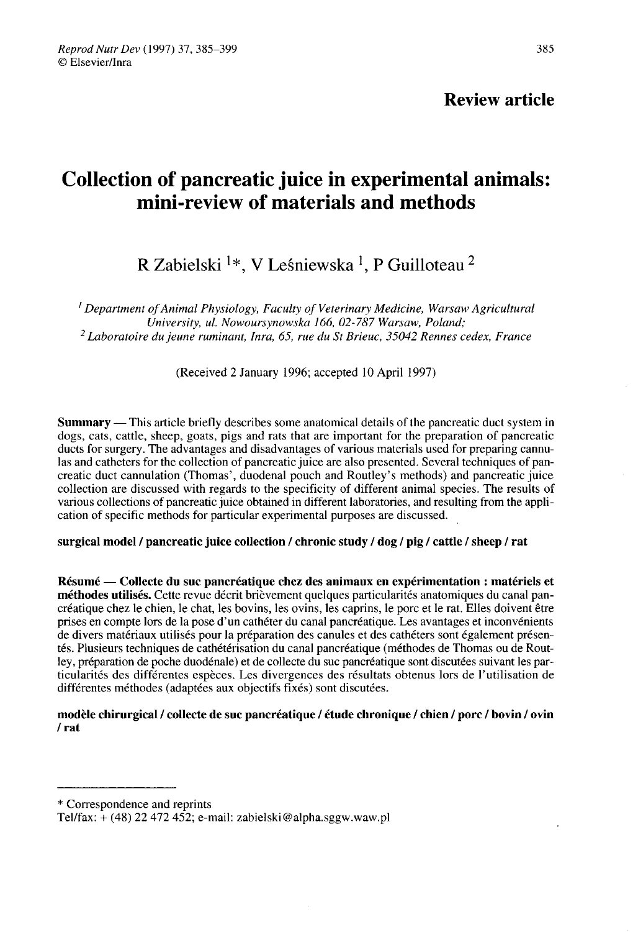## Review article

# Collection of pancreatic juice in experimental animals: mini-review of materials and methods

R Zabielski  $\frac{1}{2}$ , V Leśniewska <sup>1</sup>, P Guilloteau <sup>2</sup>

<sup>I</sup> Department of Animal Physiology, Faculty of Veterinary Medicine, Warsaw Agricultural<br>University, ul. Nowoursynowska 166, 02-787 Warsaw, Poland: <sup>2</sup> Laboratoire du jeune ruminant, Inra, 65, rue du St Brieuc, 35042 Rennes cedex, France

(Received 2 January 1996; accepted 10 April 1997)

Summary ― This article briefly describes some anatomical details of the pancreatic duct system in dogs, cats, cattle, sheep, goats, pigs and rats that are important for the preparation of pancreatic ducts for surgery. The advantages and disadvantages of various materials used for preparing cannulas and catheters for the collection of pancreatic juice are also presented. Several techniques of pancreatic duct cannulation (Thomas', duodenal pouch and Routley's methods) and pancreatic juice collection are discussed with regards to the specificity of different animal species. The results of various collections of pancreatic juice obtained in different laboratories, and resulting from the application of specific methods for particular experimental purposes are discussed.

surgical model / pancreatic juice collection / chronic study / dog / pig / cattle / sheep / rat

Résumé ― Collecte du suc pancréatique chez des animaux en expérimentation : matériels et méthodes utilisés. Cette revue décrit brièvement quelques particularités anatomiques du canal pancréatique chez le chien, le chat, les bovins, les ovins, les caprins, le porc et le rat. Elles doivent être prises en compte lors de la pose d'un cathéter du canal pancréatique. Les avantages et inconvénients de divers matériaux utilisés pour la préparation des canules et des cathéters sont également présentés. Plusieurs techniques de cathétérisation du canal pancréatique (méthodes de Thomas ou de Routley, préparation de poche duodénale) et de collecte du suc pancréatique sont discutées suivant les particularités des différentes espèces. Les divergences des résultats obtenus lors de l'utilisation de différentes méthodes (adaptées aux objectifs fixés) sont discutées.

modèle chirurgical / collecte de suc pancréatique / étude chronique / chien / porc / bovin / ovin / rat

\* Correspondence and reprints

Tel/fax: + (48) 22 472 452; e-mail: zabielski@alpha.sggw.waw.pl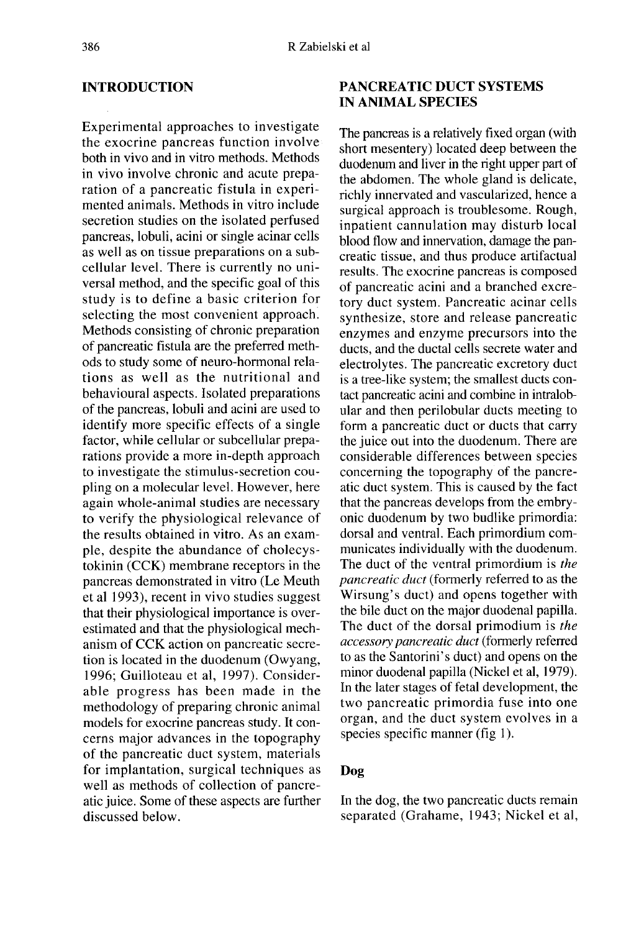## INTRODUCTION

Experimental approaches to investigate the exocrine pancreas function involve both in vivo and in vitro methods. Methods in vivo involve chronic and acute preparation of a pancreatic fistula in experimented animals. Methods in vitro include secretion studies on the isolated perfused pancreas, lobuli, acini or single acinar cells as well as on tissue preparations on a subcellular level. There is currently no universal method, and the specific goal of this study is to define a basic criterion for selecting the most convenient approach. Methods consisting of chronic preparation of pancreatic fistula are the preferred methods to study some of neuro-hormonal relations as well as the nutritional and behavioural aspects. Isolated preparations of the pancreas, lobuli and acini are used to identify more specific effects of a single factor, while cellular or subcellular preparations provide a more in-depth approach to investigate the stimulus-secretion coupling on a molecular level. However, here again whole-animal studies are necessary to verify the physiological relevance of the results obtained in vitro. As an example, despite the abundance of cholecystokinin (CCK) membrane receptors in the pancreas demonstrated in vitro (Le Meuth et al 1993), recent in vivo studies suggest that their physiological importance is overestimated and that the physiological mechanism of CCK action on pancreatic secretion is located in the duodenum (Owyang, 1996; Guilloteau et al, 1997). Considerable progress has been made in the methodology of preparing chronic animal models for exocrine pancreas study. It concerns major advances in the topography of the pancreatic duct system, materials for implantation, surgical techniques as well as methods of collection of pancreatic juice. Some of these aspects are further discussed below.

## PANCREATIC DUCT SYSTEMS IN ANIMAL SPECIES

The pancreas is a relatively fixed organ (with short mesentery) located deep between the duodenum and liver in the right upper part of the abdomen. The whole gland is delicate, richly innervated and vascularized, hence a surgical approach is troublesome. Rough, inpatient cannulation may disturb local blood flow and innervation, damage the pancreatic tissue, and thus produce artifactual results. The exocrine pancreas is composed of pancreatic acini and a branched excretory duct system. Pancreatic acinar cells synthesize, store and release pancreatic enzymes and enzyme precursors into the ducts, and the ductal cells secrete water and electrolytes. The pancreatic excretory duct is a tree-like system; the smallest ducts contact pancreatic acini and combine in intralobular and then perilobular ducts meeting to form a pancreatic duct or ducts that carry the juice out into the duodenum. There are considerable differences between species concerning the topography of the pancreatic duct system. This is caused by the fact that the pancreas develops from the embryonic duodenum by two budlike primordia: dorsal and ventral. Each primordium communicates individually with the duodenum. The duct of the ventral primordium is the pancreatic duct (formerly referred to as the Wirsung's duct) and opens together with the bile duct on the major duodenal papilla. The duct of the dorsal primodium is the accessory pancreatic duct (formerly referred to as the Santorini's duct) and opens on the minor duodenal papilla (Nickel et al, 1979). In the later stages of fetal development, the two pancreatic primordia fuse into one organ, and the duct system evolves in a species specific manner (fig 1).

#### Dog

In the dog, the two pancreatic ducts remain separated (Grahame, 1943; Nickel et al,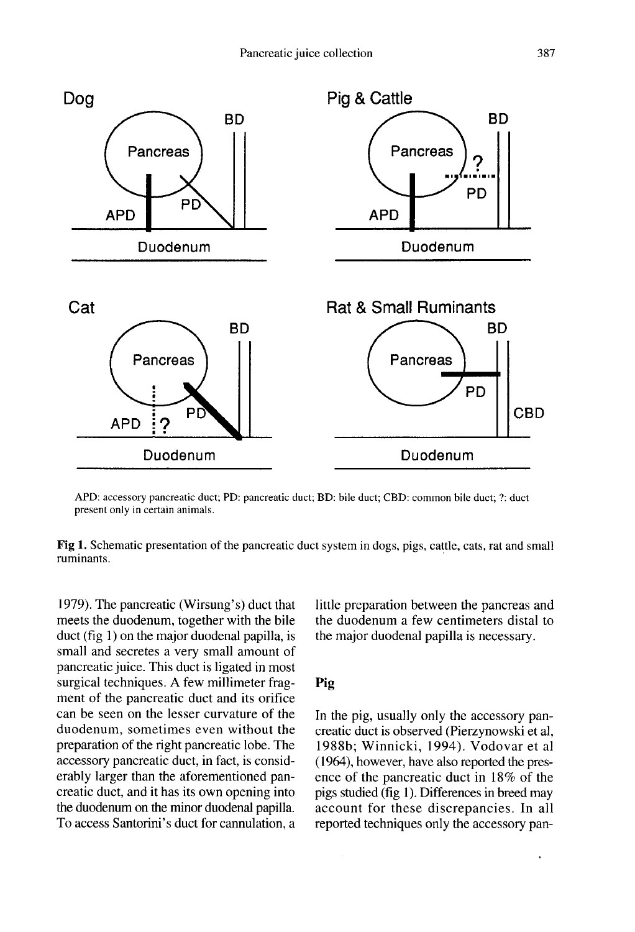

APD: accessory pancreatic duct; PD: pancreatic duct; BD: bile duct; CBD: common bile duct; ?: duct present only in certain animals.

Fig 1. Schematic presentation of the pancreatic duct system in dogs, pigs, cattle, cats, rat and small ruminants.

1979). The pancreatic (Wirsung's) duct that meets the duodenum, together with the bile duct (fig 1) on the major duodenal papilla, is small and secretes a very small amount of pancreatic juice. This duct is ligated in most surgical techniques. A few millimeter frag ment of the pancreatic duct and its orifice can be seen on the lesser curvature of the duodenum, sometimes even without the preparation of the right pancreatic lobe. The accessory pancreatic duct, in fact, is considerably larger than the aforementioned pancreatic duct, and it has its own opening into the duodenum on the minor duodenal papilla. To access Santorini's duct for cannulation, a little preparation between the pancreas and the duodenum a few centimeters distal to the major duodenal papilla is necessary.

### Pig

In the pig, usually only the accessory pancreatic duct is observed (Pierzynowski et al, 1988b; Winnicki, 1994). Vodovar et al (1964), however, have also reported the presence of the pancreatic duct in 18% of the pigs studied (fig 1). Differences in breed may account for these discrepancies. In all reported techniques only the accessory pan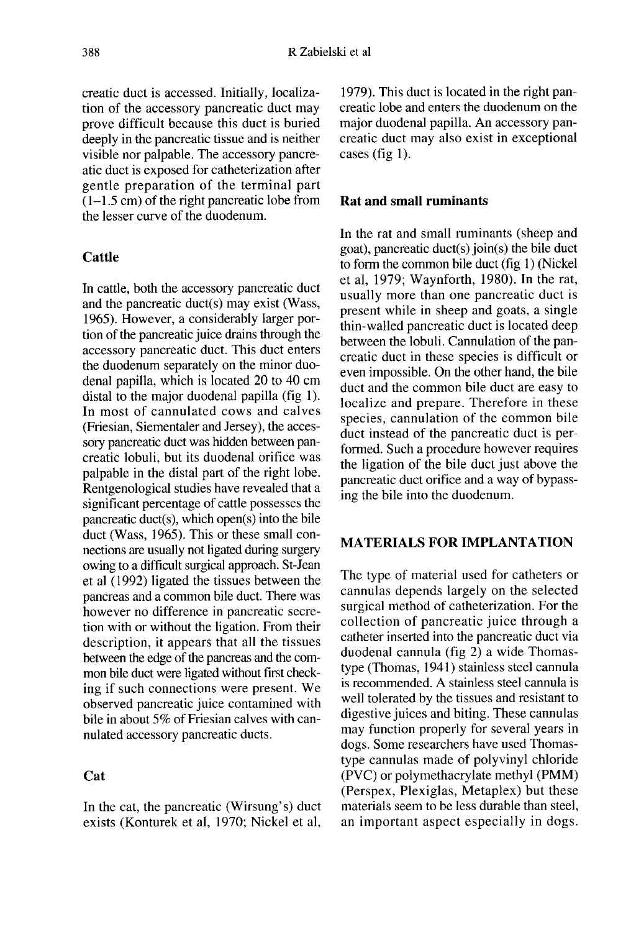creatic duct is accessed. Initially, localization of the accessory pancreatic duct may prove difficult because this duct is buried deeply in the pancreatic tissue and is neither visible nor palpable. The accessory pancreatic duct is exposed for catheterization after gentle preparation of the terminal part  $(1-1.5 \text{ cm})$  of the right pancreatic lobe from the lesser curve of the duodenum.

## **Cattle**

In cattle, both the accessory pancreatic duct and the pancreatic duct(s) may exist (Wass, 1965). However, a considerably larger portion of the pancreatic juice drains through the accessory pancreatic duct. This duct enters the duodenum separately on the minor duodenal papilla, which is located 20 to 40 cm distal to the major duodenal papilla (fig 1). In most of cannulated cows and calves (Friesian, Siementaler and Jersey), the accessory pancreatic duct was hidden between pancreatic lobuli, but its duodenal orifice was palpable in the distal part of the right lobe. Rentgenological studies have revealed that a significant percentage of cattle possesses the pancreatic duct(s), which open(s) into the bile duct (Wass, 1965). This or these small connections are usually not ligated during surgery owing to a difficult surgical approach. St-Jean et al (1992) ligated the tissues between the pancreas and a common bile duct. There was however no difference in pancreatic secretion with or without the ligation. From their description, it appears that all the tissues between the edge of the pancreas and the common bile duct were ligated without first checking if such connections were present. We observed pancreatic juice contamined with bile in about 5% of Friesian calves with cannulated accessory pancreatic ducts.

## **Cat**

In the cat, the pancreatic (Wirsung's) duct exists (Konturek et al, 1970; Nickel et al,

1979). This duct is located in the right pancreatic lobe and enters the duodenum on the major duodenal papilla. An accessory pancreatic duct may also exist in exceptional cases (fig  $1$ ).

## Rat and small ruminants

In the rat and small ruminants (sheep and goat), pancreatic duct(s) join(s) the bile duct to form the common bile duct (fig 1) (Nickel et al, 1979; Waynforth, 1980). In the rat, usually more than one pancreatic duct is present while in sheep and goats, a single thin-walled pancreatic duct is located deep between the lobuli. Cannulation of the pancreatic duct in these species is difficult or even impossible. On the other hand, the bile duct and the common bile duct are easy to localize and prepare. Therefore in these species, cannulation of the common bile duct instead of the pancreatic duct is performed. Such a procedure however requires the ligation of the bile duct just above the pancreatic duct orifice and a way of bypassing the bile into the duodenum.

## MATERIALS FOR IMPLANTATION

The type of material used for catheters or cannulas depends largely on the selected surgical method of catheterization. For the collection of pancreatic juice through a catheter inserted into the pancreatic duct via duodenal cannula (fig 2) a wide Thomastype (Thomas, 1941) stainless steel cannula is recommended. A stainless steel cannula is well tolerated by the tissues and resistant to digestive juices and biting. These cannulas may function properly for several years in dogs. Some researchers have used Thomastype cannulas made of polyvinyl chloride (PVC) or polymethacrylate methyl (PMM) (Perspex, Plexiglas, Metaplex) but these materials seem to be less durable than steel, an important aspect especially in dogs.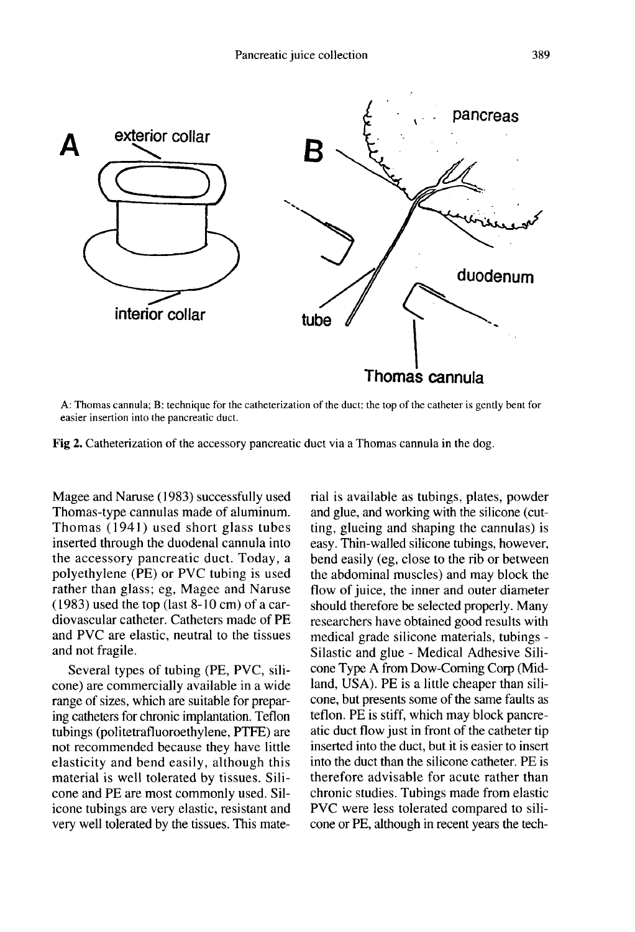

A: Thomas cannula; B: technique for the catheterization of the duct: the top of the catheter is gently bent for easier insertion into the pancreatic duct.

Fig 2. Catheterization of the accessory pancreatic duct via a Thomas cannula in the dog.

Magee and Naruse (1983) successfully used Thomas-type cannulas made of aluminum. Thomas (1941) used short glass tubes inserted through the duodenal cannula into the accessory pancreatic duct. Today, a polyethylene (PE) or PVC tubing is used rather than glass; eg, Magee and Naruse (1983) used the top (last 8-10 cm) of a cardiovascular catheter. Catheters made of PE and PVC are elastic, neutral to the tissues and not fragile.

Several types of tubing (PE, PVC, silicone) are commercially available in a wide range of sizes, which are suitable for preparing catheters for chronic implantation. Teflon tubings (politetrafluoroethylene, PTFE) are not recommended because they have little elasticity and bend easily, although this material is well tolerated by tissues. Silicone and PE are most commonly used. Silicone tubings are very elastic, resistant and very well tolerated by the tissues. This material is available as tubings, plates, powder and glue, and working with the silicone (cutting, glueing and shaping the cannulas) is easy. Thin-walled silicone tubings, however, bend easily (eg, close to the rib or between the abdominal muscles) and may block the flow of juice, the inner and outer diameter should therefore be selected properly. Many researchers have obtained good results with medical grade silicone materials, tubings - Silastic and glue - Medical Adhesive Silicone Type A from Dow-Coming Corp (Midland, USA). PE is a little cheaper than silicone, but presents some of the same faults as teflon. PE is stiff, which may block pancreatic duct flow just in front of the catheter tip inserted into the duct, but it is easier to insert into the duct than the silicone catheter. PE is therefore advisable for acute rather than chronic studies. Tubings made from elastic PVC were less tolerated compared to silicone or PE, although in recent years the tech-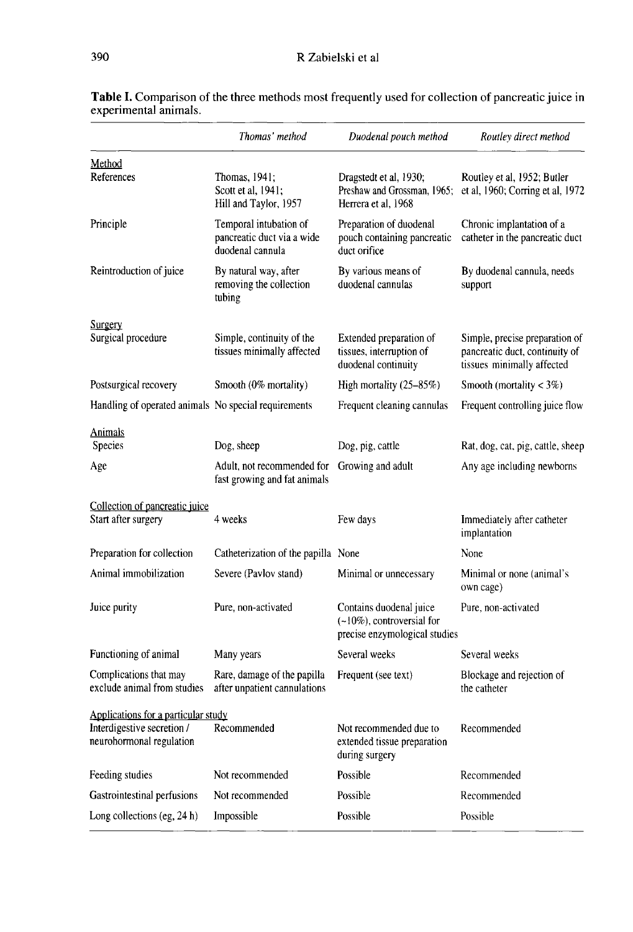|                                                                                               | Thomas' method                                                           | Duodenal pouch method                                                                     | Routley direct method                                                                          |
|-----------------------------------------------------------------------------------------------|--------------------------------------------------------------------------|-------------------------------------------------------------------------------------------|------------------------------------------------------------------------------------------------|
| Method<br>References                                                                          | Thomas, 1941;<br>Scott et al, 1941;<br>Hill and Taylor, 1957             | Dragstedt et al, 1930;<br>Preshaw and Grossman, 1965;<br>Herrera et al. 1968              | Routley et al, 1952; Butler<br>et al, 1960; Corring et al, 1972                                |
| Principle                                                                                     | Temporal intubation of<br>pancreatic duct via a wide<br>duodenal cannula | Preparation of duodenal<br>pouch containing pancreatic<br>duct orifice                    | Chronic implantation of a<br>catheter in the pancreatic duct                                   |
| Reintroduction of juice                                                                       | By natural way, after<br>removing the collection<br>tubing               | By various means of<br>duodenal cannulas                                                  | By duodenal cannula, needs<br>support                                                          |
| <b>Surgery</b><br>Surgical procedure                                                          | Simple, continuity of the<br>tissues minimally affected                  | Extended preparation of<br>tissues, interruption of<br>duodenal continuity                | Simple, precise preparation of<br>pancreatic duct, continuity of<br>tissues minimally affected |
| Postsurgical recovery                                                                         | Smooth (0% mortality)                                                    | High mortality $(25-85%)$                                                                 | Smooth (mortality $<$ 3%)                                                                      |
| Handling of operated animals No special requirements                                          |                                                                          | Frequent cleaning cannulas                                                                | Frequent controlling juice flow                                                                |
| <b>Animals</b><br><b>Species</b>                                                              | Dog, sheep                                                               | Dog, pig, cattle                                                                          | Rat, dog, cat, pig, cattle, sheep                                                              |
| Age                                                                                           | Adult, not recommended for<br>fast growing and fat animals               | Growing and adult                                                                         | Any age including newborns                                                                     |
| Collection of pancreatic juice<br>Start after surgery                                         | 4 weeks                                                                  | Few days                                                                                  | Immediately after catheter<br>implantation                                                     |
| Preparation for collection                                                                    | Catheterization of the papilla None                                      |                                                                                           | None                                                                                           |
| Animal immobilization                                                                         | Severe (Pavlov stand)                                                    | Minimal or unnecessary                                                                    | Minimal or none (animal's<br>own cage)                                                         |
| Juice purity                                                                                  | Pure, non-activated                                                      | Contains duodenal juice<br>$(-10\%)$ , controversial for<br>precise enzymological studies | Pure, non-activated                                                                            |
| Functioning of animal                                                                         | Many years                                                               | Several weeks                                                                             | Several weeks                                                                                  |
| Complications that may<br>exclude animal from studies                                         | Rare, damage of the papilla<br>after unpatient cannulations              | Frequent (see text)                                                                       | Blockage and rejection of<br>the catheter                                                      |
| Applications for a particular study<br>Interdigestive secretion /<br>neurohormonal regulation | Recommended                                                              | Not recommended due to<br>extended tissue preparation<br>during surgery                   | Recommended                                                                                    |
| Feeding studies                                                                               | Not recommended                                                          | Possible                                                                                  | Recommended                                                                                    |
| Gastrointestinal perfusions                                                                   | Not recommended                                                          | Possible                                                                                  | Recommended                                                                                    |
| Long collections (eg, 24 h)                                                                   | Impossible                                                               | Possible                                                                                  | Possible                                                                                       |

Table I. Comparison of the three methods most frequently used for collection of pancreatic juice in experimental animals.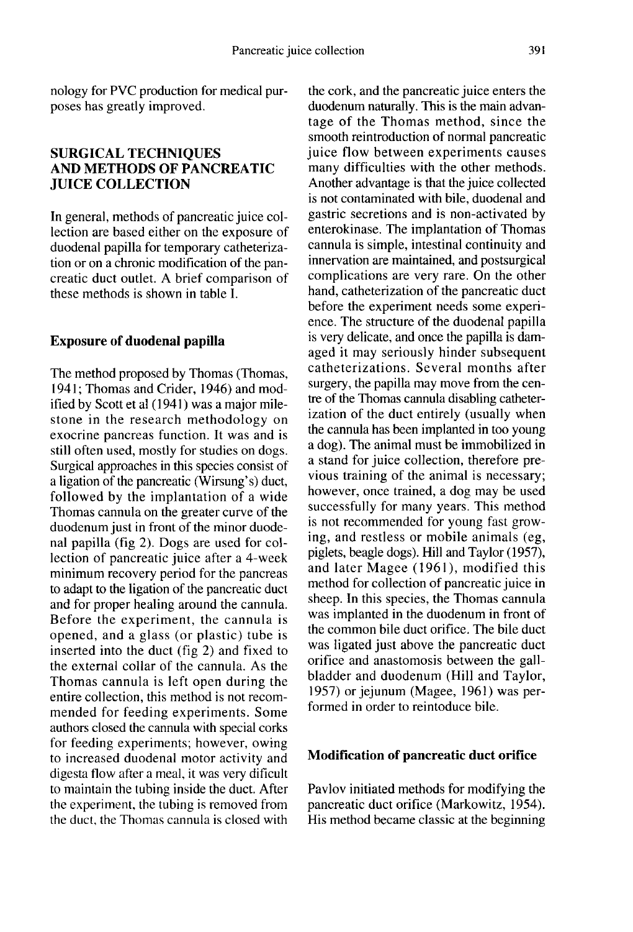## SURGICAL TECHNIQUES AND METHODS OF PANCREATIC JUICE COLLECTION

In general, methods of pancreatic juice collection are based either on the exposure of duodenal papilla for temporary catheterization or on a chronic modification of the pancreatic duct outlet. A brief comparison of these methods is shown in table I.

## Exposure of duodenal papilla

The method proposed by Thomas (Thomas, 1941; Thomas and Crider, 1946) and modified by Scott et al (1941) was a major milestone in the research methodology on exocrine pancreas function. It was and is still often used, mostly for studies on dogs. Surgical approaches in this species consist of a ligation of the pancreatic (Wirsung's) duct, followed by the implantation of a wide Thomas cannula on the greater curve of the duodenum just in front of the minor duodenal papilla (fig 2). Dogs are used for collection of pancreatic juice after a 4-week minimum recovery period for the pancreas to adapt to the ligation of the pancreatic duct and for proper healing around the cannula. Before the experiment, the cannula is opened, and a glass (or plastic) tube is inserted into the duct (fig 2) and fixed to the external collar of the cannula. As the Thomas cannula is left open during the entire collection, this method is not recommended for feeding experiments. Some authors closed the cannula with special corks for feeding experiments; however, owing to increased duodenal motor activity and digesta flow after a meal, it was very dificult to maintain the tubing inside the duct. After the experiment, the tubing is removed from the duct, the Thomas cannula is closed with the cork, and the pancreatic juice enters the duodenum naturally. This is the main advantage of the Thomas method, since the smooth reintroduction of normal pancreatic juice flow between experiments causes many difficulties with the other methods. Another advantage is that the juice collected is not contaminated with bile, duodenal and gastric secretions and is non-activated by enterokinase. The implantation of Thomas cannula is simple, intestinal continuity and innervation are maintained, and postsurgical complications are very rare. On the other hand, catheterization of the pancreatic duct before the experiment needs some experi ence. The structure of the duodenal papilla is very delicate, and once the papilla is damaged it may seriously hinder subsequent catheterizations. Several months after surgery, the papilla may move from the centre of the Thomas cannula disabling catheterization of the duct entirely (usually when the cannula has been implanted in too young a dog). The animal must be immobilized in a stand for juice collection, therefore previous training of the animal is necessary; however, once trained, a dog may be used successfully for many years. This method is not recommended for young fast growing, and restless or mobile animals (eg, piglets, beagle dogs). Hill and Taylor (1957), and later Magee (1961), modified this method for collection of pancreatic juice in sheep. In this species, the Thomas cannula was implanted in the duodenum in front of the common bile duct orifice. The bile duct was ligated just above the pancreatic duct orifice and anastomosis between the gallbladder and duodenum (Hill and Taylor, 1957) or jejunum (Magee, 1961) was performed in order to reintoduce bile.

## Modification of pancreatic duct orifice

Pavlov initiated methods for modifying the pancreatic duct orifice (Markowitz, 1954). His method became classic at the beginning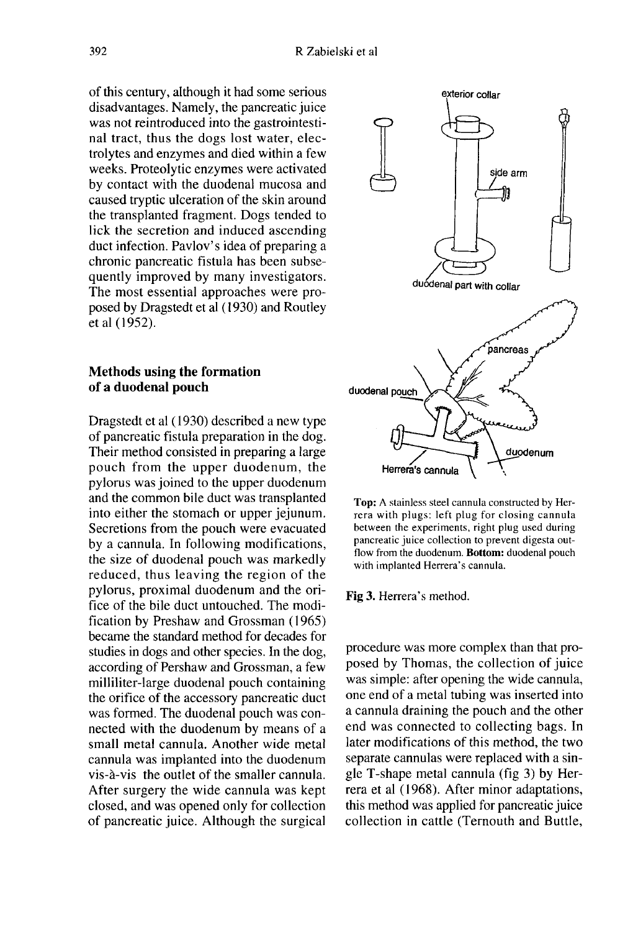of this century, although it had some serious disadvantages. Namely, the pancreatic juice was not reintroduced into the gastrointestinal tract, thus the dogs lost water, electrolytes and enzymes and died within a few weeks. Proteolytic enzymes were activated by contact with the duodenal mucosa and caused tryptic ulceration of the skin around the transplanted fragment. Dogs tended to lick the secretion and induced ascending duct infection. Pavlov's idea of preparing a chronic pancreatic fistula has been subsequently improved by many investigators. The most essential approaches were proposed by Dragstedt et al ( 1930) and Routley et al ( 1952).

### Methods using the formation of a duodenal pouch

Dragstedt et al (1930) described a new type of pancreatic fistula preparation in the dog. Their method consisted in preparing a large pouch from the upper duodenum, the pylorus was joined to the upper duodenum and the common bile duct was transplanted into either the stomach or upper jejunum. Secretions from the pouch were evacuated by a cannula. In following modifications, the size of duodenal pouch was markedly reduced, thus leaving the region of the pylorus, proximal duodenum and the orifice of the bile duct untouched. The modification by Preshaw and Grossman (1965) became the standard method for decades for studies in dogs and other species. In the dog, according of Pershaw and Grossman, a few milliliter-large duodenal pouch containing the orifice of the accessory pancreatic duct was formed. The duodenal pouch was connected with the duodenum by means of a small metal cannula. Another wide metal cannula was implanted into the duodenum vis-à-vis the outlet of the smaller cannula. After surgery the wide cannula was kept closed, and was opened only for collection of pancreatic juice. Although the surgical



Top: A stainless steel cannula constructed by Herrera with plugs: left plug for closing cannula between the experiments, right plug used during pancreatic juice collection to prevent digesta outflow from the duodenum. Bottom: duodenal pouch with implanted Herrera's cannula.

Fig 3. Herrera's method.

procedure was more complex than that proposed by Thomas, the collection of juice was simple: after opening the wide cannula, one end of a metal tubing was inserted into a cannula draining the pouch and the other end was connected to collecting bags. In later modifications of this method, the two separate cannulas were replaced with a single T-shape metal cannula (fig 3) by Herrera et al ( 1968). After minor adaptations, this method was applied for pancreatic juice collection in cattle (Ternouth and Buttle,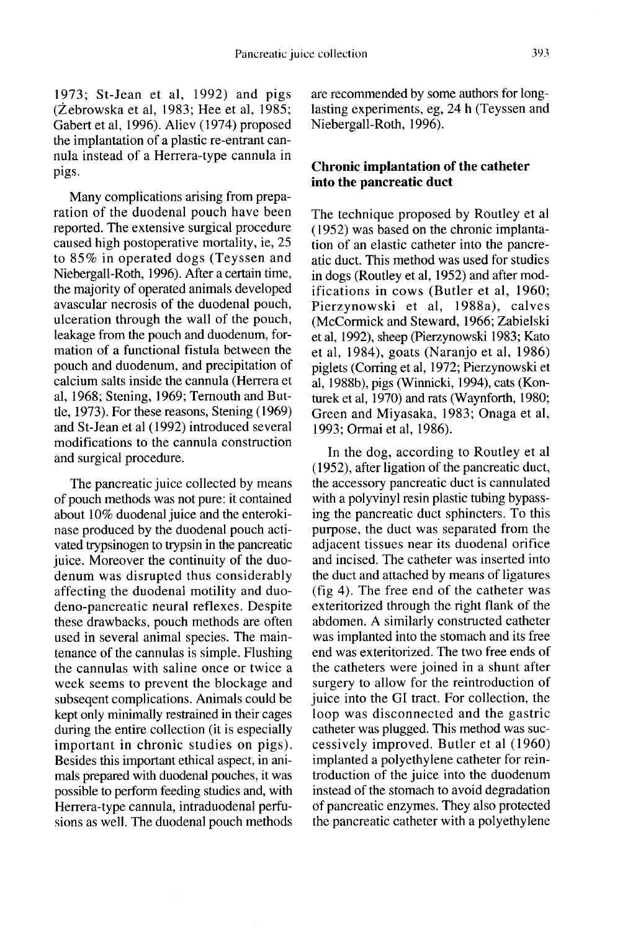1973; St-Jean et al, 1992) and pigs (Zebrowska et al, 1983; Hee et al, 1985; Gabert et al, 1996). Aliev (1974) proposed the implantation of a plastic re-entrant cannula instead of a Herrera-type cannula in pigs.

Many complications arising from preparation of the duodenal pouch have been reported. The extensive surgical procedure caused high postoperative mortality, ie, 25 to 85% in operated dogs (Teyssen and Niebergall-Roth, 1996). After a certain time, the majority of operated animals developed avascular necrosis of the duodenal pouch, ulceration through the wall of the pouch, leakage from the pouch and duodenum, formation of a functional fistula between the pouch and duodenum, and precipitation of calcium salts inside the cannula (Herrera et al, 1968; Stening, 1969; Temouth and Buttie, 1973). For these reasons, Stening (1969) and St-Jean et al (1992) introduced several modifications to the cannula construction and surgical procedure.

The pancreatic juice collected by means of pouch methods was not pure: it contained about 10% duodenal juice and the enterokinase produced by the duodenal pouch activated trypsinogen to trypsin in the pancreatic juice. Moreover the continuity of the duodenum was disrupted thus considerably affecting the duodenal motility and duodeno-pancreatic neural reflexes. Despite these drawbacks, pouch methods are often used in several animal species. The maintenance of the cannulas is simple. Flushing the cannulas with saline once or twice a week seems to prevent the blockage and subsequent complications. Animals could be kept only minimally restrained in their cages during the entire collection (it is especially important in chronic studies on pigs). Besides this important ethical aspect, in animals prepared with duodenal pouches, it was possible to perform feeding studies and, with Herrera-type cannula, intraduodenal perfusions as well. The duodenal pouch methods are recommended by some authors for longlasting experiments, eg, 24 h (Teyssen and Niebergall-Roth, 1996).

#### Chronic implantation of the catheter into the pancreatic duct

The technique proposed by Routley et all ( 1952) was based on the chronic implantation of an elastic catheter into the pancreatic duct. This method was used for studies in dogs (Routley et al, 1952) and after modifications in cows (Butler et al, 1960; Pierzynowski et al, 1988a), calves (McCormick and Steward, 1966; Zabielski et al, 1992), sheep (Pierzynowski 1983; Kato et al, 1984), goats (Naranjo et al, 1986) piglets (Corring et al, 1972; Pierzynowski et al, 1988b), pigs (Winnicki, 1994), cats (Konturek et al, 1970) and rats (Waynforth, 1980; Green and Miyasaka, 1983; Onaga et al, 1993; Ormai et al, 1986).

In the dog, according to Routley et al ( 1952), after ligation of the pancreatic duct, the accessory pancreatic duct is cannulated with a polyvinyl resin plastic tubing bypassing the pancreatic duct sphincters. To this purpose, the duct was separated from the adjacent tissues near its duodenal orifice and incised. The catheter was inserted into the duct and attached by means of ligatures (fig 4). The free end of the catheter was exteritorized through the right flank of the abdomen. A similarly constructed catheter was implanted into the stomach and its free end was exteritorized. The two free ends of the catheters were joined in a shunt after surgery to allow for the reintroduction of juice into the GI tract. For collection, the loop was disconnected and the gastric catheter was plugged. This method was successively improved. Butler et al (1960) implanted a polyethylene catheter for reintroduction of the juice into the duodenum instead of the stomach to avoid degradation of pancreatic enzymes. They also protected the pancreatic catheter with a polyethylene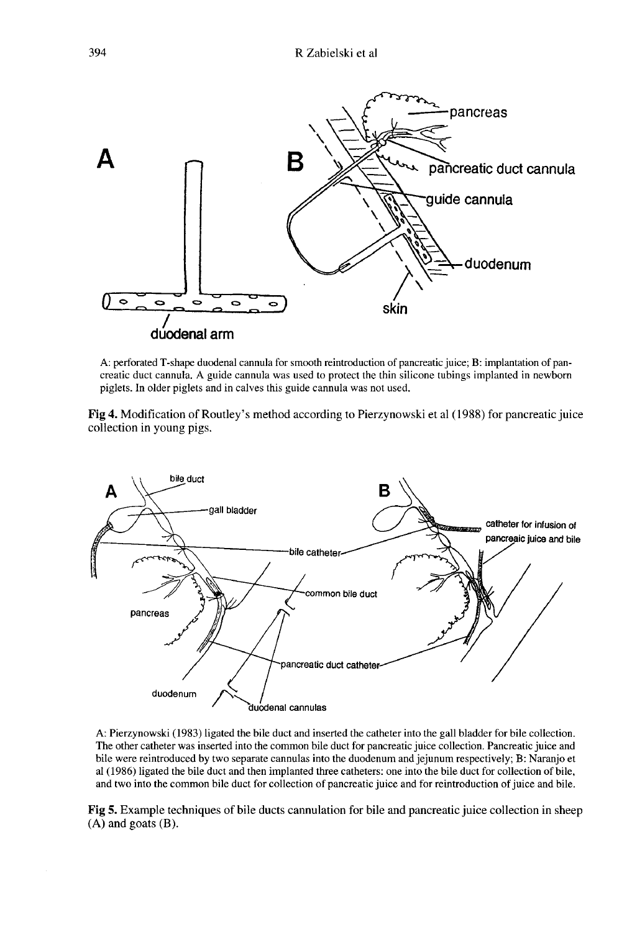

A: perforated T-shape duodenal cannula for smooth reintroduction of pancreatic juice; B: implantation of pancreatic duct cannula. A guide cannula was used to protect the thin silicone tubings implanted in newborn piglets. In older piglets and in calves this guide cannula was not used.

Fig 4. Modification of Routley's method according to Pierzynowski et al (1988) for pancreatic juice collection in young pigs.



A: Pierzynowski (1983) ligated the bile duct and inserted the catheter into the gall bladder for bile collection. The other catheter was inserted into the common bile duct for pancreatic juice collection. Pancreatic juice and bile were reintroduced by two separate cannulas into the duodenum and jejunum respectively; B: Naranjo et al (1986) ligated the bile duct and then implanted three catheters; one into the bile duct for collection of bile. and two into the common bile duct for collection of pancreatic juice and for reintroduction of juice and bile.

Fig 5. Example techniques of bile ducts cannulation for bile and pancreatic juice collection in sheep  $(A)$  and goats  $(B)$ .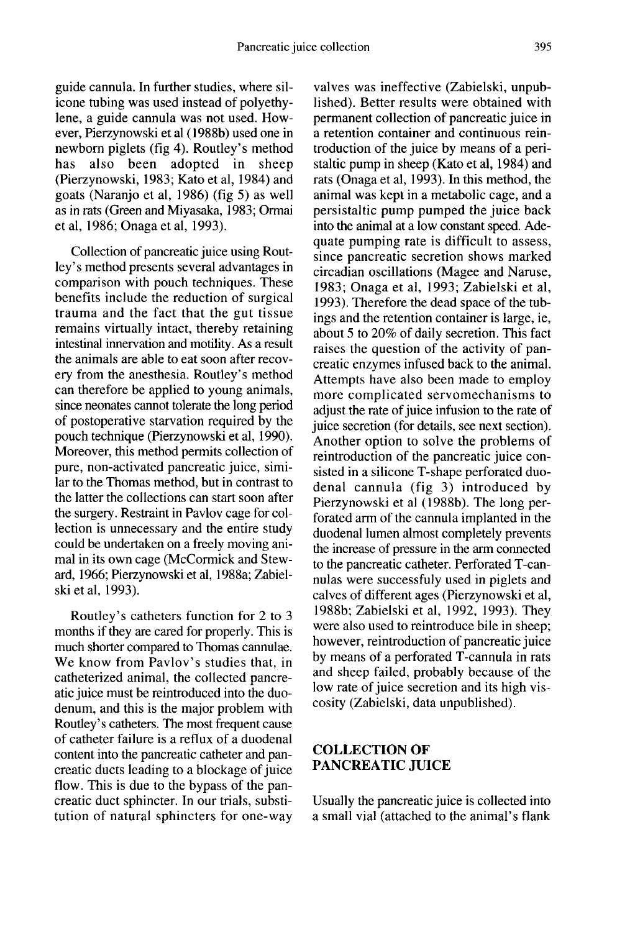guide cannula. In further studies, where silicone tubing was used instead of polyethylene, a guide cannula was not used. However, Pierzynowski et al (1988b) used one in newborn piglets (fig 4). Routley's method<br>has also been adopted in sheep adopted in (Pierzynowski, 1983; Kato et al, 1984) and goats (Naranjo et al, 1986) (fig 5) as well as in rats (Green and Miyasaka, 1983; Ormai et al, 1986; Onaga et al, 1993).

Collection of pancreatic juice using Routley's method presents several advantages in comparison with pouch techniques. These benefits include the reduction of surgical trauma and the fact that the gut tissue remains virtually intact, thereby retaining intestinal innervation and motility. As a result the animals are able to eat soon after recovery from the anesthesia. Routley's method can therefore be applied to young animals, since neonates cannot tolerate the long period of postoperative starvation required by the pouch technique (Pierzynowski et al, 1990). Moreover, this method permits collection of pure, non-activated pancreatic juice, similar to the Thomas method, but in contrast to the latter the collections can start soon after the surgery. Restraint in Pavlov cage for collection is unnecessary and the entire study could be undertaken on a freely moving animal in its own cage (McCormick and Steward, 1966; Pierzynowski et al, 1988a; Zabielski et al, 1993).

Routley's catheters function for 2 to 3 months if they are cared for properly. This is much shorter compared to Thomas cannulae. We know from Pavlov's studies that, in catheterized animal, the collected pancreatic juice must be reintroduced into the duodenum, and this is the major problem with Routley's catheters. The most frequent cause of catheter failure is a reflux of a duodenal content into the pancreatic catheter and pancreatic ducts leading to a blockage of juice flow. This is due to the bypass of the pancreatic duct sphincter. In our trials, substitution of natural sphincters for one-way

valves was ineffective (Zabielski, unpublished). Better results were obtained with permanent collection of pancreatic juice in a retention container and continuous reintroduction of the juice by means of a peristaltic pump in sheep (Kato et al, 1984) and rats (Onaga et al, 1993). In this method, the animal was kept in a metabolic cage, and a persistaltic pump pumped the juice back into the animal at a low constant speed. Adequate pumping rate is difficult to assess, since pancreatic secretion shows marked circadian oscillations (Magee and Naruse, 1983; Onaga et al, 1993; Zabielski et al, 1993). Therefore the dead space of the tubings and the retention container is large, ie, about 5 to 20% of daily secretion. This fact raises the question of the activity of pancreatic enzymes infused back to the animal. Attempts have also been made to employ more complicated servomechanisms to adjust the rate of juice infusion to the rate of juice secretion (for details, see next section). Another option to solve the problems of reintroduction of the pancreatic juice consisted in a silicone T-shape perforated duodenal cannula (fig 3) introduced by Pierzynowski et al ( 1988b). The long perforated arm of the cannula implanted in the duodenal lumen almost completely prevents the increase of pressure in the arm connected to the pancreatic catheter. Perforated T-cannulas were successfuly used in piglets and calves of different ages (Pierzynowski et al, 1988b; Zabielski et al, 1992, 1993). They were also used to reintroduce bile in sheep; however, reintroduction of pancreatic juice by means of a perforated T-cannula in rats and sheep failed, probably because of the low rate of juice secretion and its high viscosity (Zabielski, data unpublished).

## COLLECTION OF PANCREATIC JUICE

Usually the pancreatic juice is collected into a small vial (attached to the animal's flank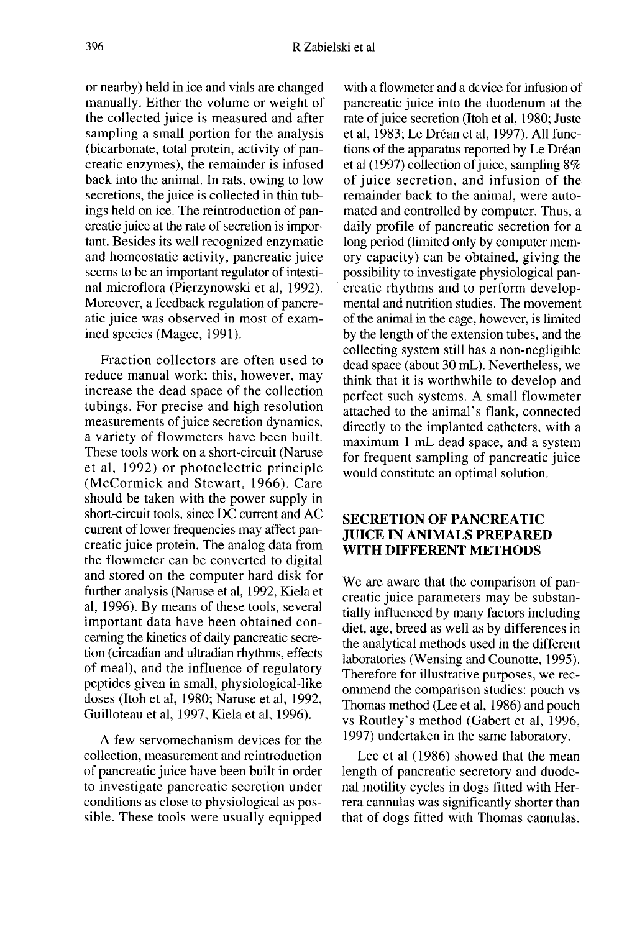or nearby) held in ice and vials are changed manually. Either the volume or weight of the collected juice is measured and after sampling a small portion for the analysis (bicarbonate, total protein, activity of pancreatic enzymes), the remainder is infused back into the animal. In rats, owing to low secretions, the juice is collected in thin tubings held on ice. The reintroduction of pancreatic juice at the rate of secretion is impor tant. Besides its well recognized enzymatic and homeostatic activity, pancreatic juice seems to be an important regulator of intestinal microflora (Pierzynowski et al, 1992). Moreover, a feedback regulation of pancreatic juice was observed in most of examined species (Magee, 1991).

Fraction collectors are often used to reduce manual work; this, however, may increase the dead space of the collection tubings. For precise and high resolution measurements of juice secretion dynamics, a variety of flowmeters have been built. These tools work on a short-circuit (Naruse et al, 1992) or photoelectric principle (McCormick and Stewart, 1966). Care should be taken with the power supply in short-circuit tools, since DC current and AC current of lower frequencies may affect pancreatic juice protein. The analog data from the flowmeter can be converted to digital and stored on the computer hard disk for further analysis (Naruse et al, 1992, Kiela et al, 1996). By means of these tools, several important data have been obtained conceming the kinetics of daily pancreatic secretion (circadian and ultradian rhythms, effects of meal), and the influence of regulatory peptides given in small, physiological-like doses (Itoh et al, 1980; Naruse et al, 1992, Guilloteau et al, 1997, Kiela et al, 1996).

A few servomechanism devices for the collection, measurement and reintroduction of pancreatic juice have been built in order to investigate pancreatic secretion under conditions as close to physiological as possible. These tools were usually equipped

with a flowmeter and a device for infusion of pancreatic juice into the duodenum at the rate of juice secretion (Itoh et al, 1980; Juste et al, 1983; Le Dréan et al, 1997). All functions of the apparatus reported by Le Dréan et al (1997) collection of juice, sampling 8% of juice secretion, and infusion of the remainder back to the animal, were automated and controlled by computer. Thus, a daily profile of pancreatic secretion for a long period (limited only by computer memory capacity) can be obtained, giving the possibility to investigate physiological pancreatic rhythms and to perform developmental and nutrition studies. The movement of the animal in the cage, however, is limited by the length of the extension tubes, and the collecting system still has a non-negligible dead space (about 30 mL). Nevertheless, we think that it is worthwhile to develop and perfect such systems. A small flowmeter attached to the animal's flank, connected directly to the implanted catheters, with a maximum 1 mL dead space, and a system for frequent sampling of pancreatic juice would constitute an optimal solution.

## SECRETION OF PANCREATIC JUICE IN ANIMALS PREPARED WITH DIFFERENT METHODS

We are aware that the comparison of pancreatic juice parameters may be substantially influenced by many factors including diet, age, breed as well as by differences in the analytical methods used in the different laboratories (Wensing and Counotte, 1995). Therefore for illustrative purposes, we recommend the comparison studies: pouch vs Thomas method (Lee et al, 1986) and pouch vs Routley's method (Gabert et al, 1996, 1997) undertaken in the same laboratory.

Lee et al (1986) showed that the mean length of pancreatic secretory and duodenal motility cycles in dogs fitted with Herrera cannulas was significantly shorter than that of dogs fitted with Thomas cannulas.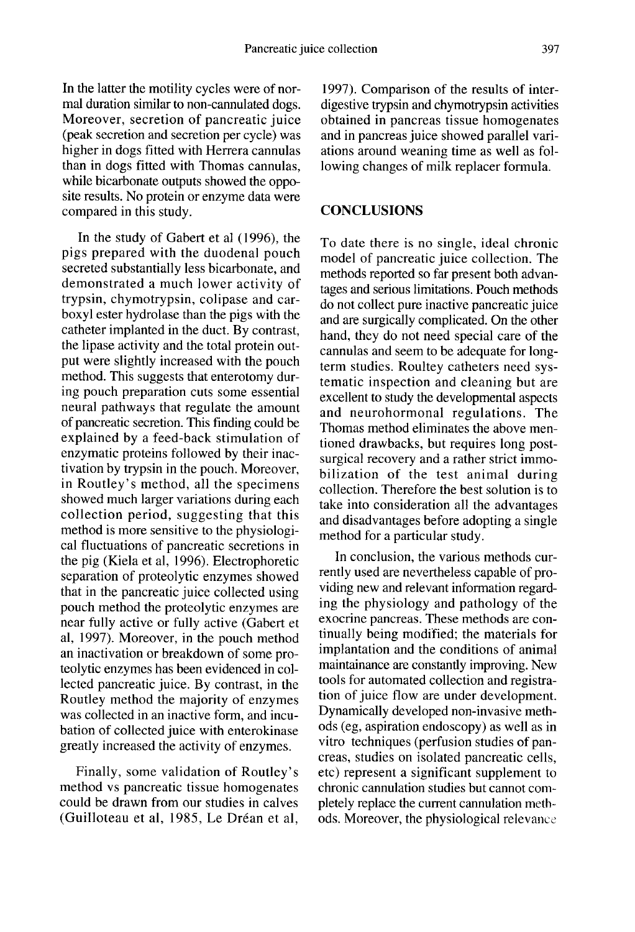In the latter the motility cycles were of normal duration similar to non-cannulated dogs. Moreover, secretion of pancreatic juice (peak secretion and secretion per cycle) was higher in dogs fitted with Herrera cannulas than in dogs fitted with Thomas cannulas, while bicarbonate outputs showed the opposite results. No protein or enzyme data were compared in this study.

In the study of Gabert et al (1996), the pigs prepared with the duodenal pouch secreted substantially less bicarbonate, and demonstrated a much lower activity of trypsin, chymotrypsin, colipase and carboxyl ester hydrolase than the pigs with the catheter implanted in the duct. By contrast, the lipase activity and the total protein output were slightly increased with the pouch method. This suggests that enterotomy during pouch preparation cuts some essential neural pathways that regulate the amount of pancreatic secretion. This finding could be explained by a feed-back stimulation of enzymatic proteins followed by their inactivation by trypsin in the pouch. Moreover, in Routley's method, all the specimens showed much larger variations during each collection period, suggesting that this method is more sensitive to the physiological fluctuations of pancreatic secretions in the pig (Kiela et al, 1996). Electrophoretic separation of proteolytic enzymes showed that in the pancreatic juice collected using pouch method the proteolytic enzymes are near fully active or fully active (Gabert et al, 1997). Moreover, in the pouch method an inactivation or breakdown of some proteolytic enzymes has been evidenced in collected pancreatic juice. By contrast, in the Routley method the majority of enzymes was collected in an inactive form, and incubation of collected juice with enterokinase greatly increased the activity of enzymes.

Finally, some validation of Routley's method vs pancreatic tissue homogenates could be drawn from our studies in calves (Guilloteau et al, 1985, Le Dréan et al,

1997). Comparison of the results of interdigestive trypsin and chymotrypsin activities obtained in pancreas tissue homogenates and in pancreas juice showed parallel variations around weaning time as well as following changes of milk replacer formula.

## **CONCLUSIONS**

To date there is no single, ideal chronic model of pancreatic juice collection. The methods reported so far present both advantages and serious limitations. Pouch methods do not collect pure inactive pancreatic juice and are surgically complicated. On the other hand, they do not need special care of the cannulas and seem to be adequate for long term studies. Roultey catheters need systematic inspection and cleaning but are excellent to study the developmental aspects and neurohormonal regulations. The Thomas method eliminates the above mentioned drawbacks, but requires long postsurgical recovery and a rather strict immobilization of the test animal during collection. Therefore the best solution is to take into consideration all the advantages and disadvantages before adopting a single method for a particular study.

In conclusion, the various methods currently used are nevertheless capable of providing new and relevant information regarding the physiology and pathology of the exocrine pancreas. These methods are continually being modified; the materials for implantation and the conditions of animal maintainance are constantly improving. New tools for automated collection and registration of juice flow are under development. Dynamically developed non-invasive methods (eg, aspiration endoscopy) as well as in vitro techniques (perfusion studies of pancreas, studies on isolated pancreatic cells, etc) represent a significant supplement to chronic cannulation studies but cannot completely replace the current cannulation methods. Moreover, the physiological relevance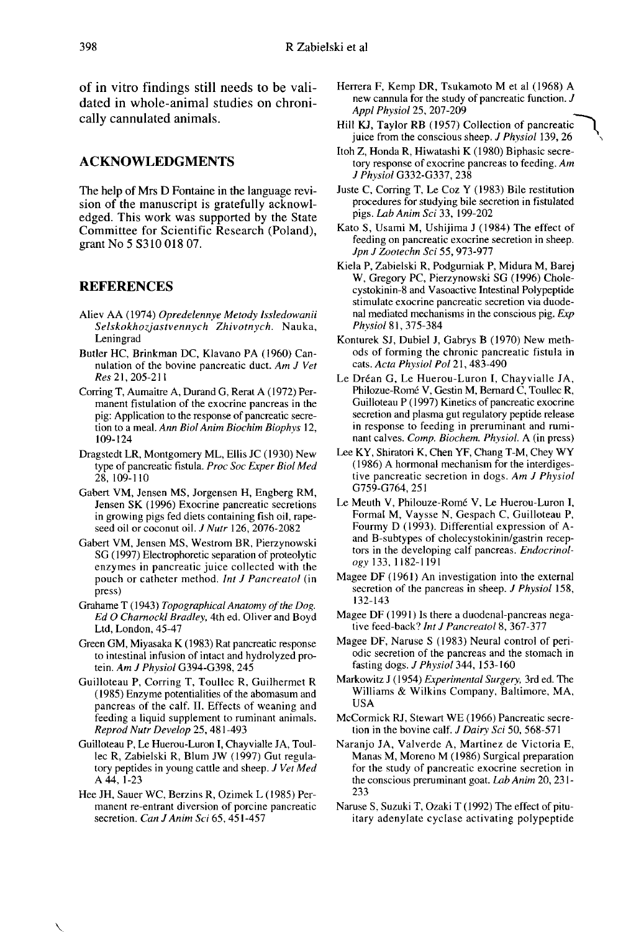of in vitro findings still needs to be validated in whole-animal studies on chronically cannulated animals.

#### ACKNOWLEDGMENTS

The help of Mrs D Fontaine in the language revision of the manuscript is gratefully acknowledged. This work was supported by the State Committee for Scientific Research (Poland), grant No 5 S310 018 07.

#### **REFERENCES**

- Aliev AA (1974) Opredelennye Metody lssledowanii Selskokhozjastvennych Zhivotnych. Nauka, Leningrad
- Butler HC, Brinkman DC, Klavano PA ( 1960) Cannulation of the bovine pancreatic duct. Am J Vet Res 21, 205-211
- Corring T, Aumaitre A, Durand G, Rerat A ( 1972) Permanent fistulation of the exocrine pancreas in the pig: Application to the response of pancreatic secretion to a meal. Ann Biol Anim Biochim Biophys 12, 109-124
- Dragstedt LR, Montgomery ML, Ellis JC ( 1930) New type of pancreatic fistula. Proc Soc Exper Biol Med 28,109-110
- Gabert VM, Jensen MS, Jorgensen H, Engberg RM, Jensen SK (1996) Exocrine pancreatic secretions in growing pigs fed diets containing fish oil, rapeseed oil or coconut oil. J Nutr 126, 2076-2082
- Gabert VM, Jensen MS, Westrom BR, Pierzynowski SG (1997) Electrophoretic separation of proteolytic enzymes in pancreatic juice collected with the pouch or catheter method. Int J Pancreatol (in press)
- Grahame T (1943) Topographical Anatomy of the Dog.<br>Ed O Charnockl Bradley, 4th ed. Oliver and Boyd Ltd, London, 45-47
- Green GM, Miyasaka K (1983) Rat pancreatic response to intestinal infusion of intact and hydrolyzed pro-<br>tein. Am J Physiol G394-G398, 245
- Guilloteau P, Corring T, Toullec R, Guilhermet R (1985) Enzyme potentialities of the abomasum and pancreas of the calf. 11. Effects of weaning and feeding a liquid supplement to ruminant animals. Reprod Nutr Develop 25, 481-493
- Guilloteau P, Le Huerou-Luron I, Chayvialle JA, Toullec R, Zabielski R, Blum JW (1997) Gut regulatory peptides in young cattle and sheep. J Vet Med A 44, 1-23
- Hee JH, Sauer WC, Berzins R, Ozimek L (1985) Permanent re-entrant diversion of porcine pancreatic secretion. Can J Anim Sci 65, 451-457
- Herrera F, Kemp DR, Tsukamoto M et al (1968) A new cannula for the study of pancreatic function. J Appl Physiol 25, 207-209
- Hill KJ, Taylor RB (1957) Collection of pancreatic juice from the conscious sheep. J Physiol 139, 26
- Itoh Z, Honda R, Hiwatashi K (1980) Biphasic secretory response of exocrine pancreas to feeding. Am J Physiol G332-G337, 238
- Juste C, Corring T, Le Coz Y (1983) Bile restitution procedures for studying bile secretion in fistulated pigs. Lab Anim Sci 33, 199-202
- Kato S, Usami M, Ushijima J (1984) The effect of feeding on pancreatic exocrine secretion in sheep. Jpn J Zootechn Sci 55, 973-977
- Kiela P, Zabielski R, Podgurniak P, Midura M, Barej W, Gregory PC, Pierzynowski SG (1996) Cholecystokinin-8 and Vasoactive Intestinal Polypeptide stimulate exocrine pancreatic secretion via duodenal mediated mechanisms in the conscious pig.  $Exp$ Phvsiol 81, 375-384
- Konturek SJ, Dubiel J, Gabrys B (1970) New methods of forming the chronic pancreatic fistula in cats. Acta Physiol Pol 21, 483-490
- Le Dréan G, Le Huerou-Luron I, Chayvialle JA, Philozue-Rom6 V, Gestin M, Bernard C, Toullec R, Guilloteau P (1997) Kinetics of pancreatic exocrine secretion and plasma gut regulatory peptide release in response to feeding in preruminant and rumi-<br>nant calves. Comp. Biochem. Physiol. A (in press)
- Lee KY, Shiratori K, Chen YF, Chang T-M, Chey WY (1986) A hormonal mechanism for the interdigestive pancreatic secretion in dogs. Am J Physiol G759-G764, 251
- Le Meuth V, Philouze-Romé V, Le Huerou-Luron I, Formal M, Vaysse N, Gespach C, Guilloteau P, Fourmy D (1993). Differential expression of Aand B-subtypes of cholecystokinin/gastrin recep tors in the developing calf pancreas. Endocrinology 133, 1182-1191
- Magee DF (1961) An investigation into the external secretion of the pancreas in sheep. *J Physiol* 158, 132-l43
- Magee DF (1991) Is there a duodenal-pancreas nega tive feed-back? Int J Pancreatol 8, 367-377
- Magee DF, Naruse S (1983) Neural control of periodic secretion of the pancreas and the stomach in fasting dogs. *J Physiol* 344, 153-160
- Markowitz J (1954) Experimental Surgery, 3rd ed. The Williams & Wilkins Company, Baltimore, MA, USA
- McCormick RJ, Stewart WE (1966) Pancreatic secre-
- tion in the bovine calf. J Dairy Sci 50, 568-571<br>Naranjo JA, Valverde A, Martinez de Victoria E, Manas M, Moreno M (1986) Surgical preparation for the study of pancreatic exocrine secretion in the conscious preruminant goat. Lab Anim 20, 231-233
- Naruse S, Suzuki T, Ozaki T (1992) The effect of pituitary adenylate cyclase activating polypeptide